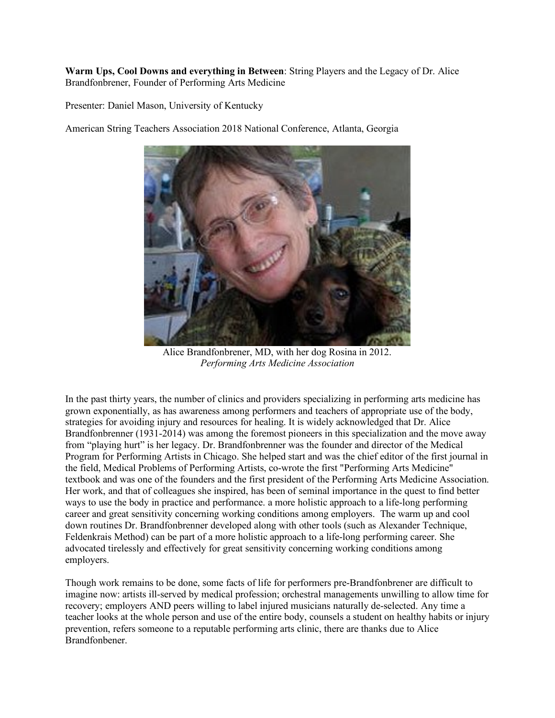**Warm Ups, Cool Downs and everything in Between**: String Players and the Legacy of Dr. Alice Brandfonbrener, Founder of Performing Arts Medicine

Presenter: Daniel Mason, University of Kentucky

American String Teachers Association 2018 National Conference, Atlanta, Georgia



Alice Brandfonbrener, MD, with her dog Rosina in 2012. *Performing Arts Medicine Association*

In the past thirty years, the number of clinics and providers specializing in performing arts medicine has grown exponentially, as has awareness among performers and teachers of appropriate use of the body, strategies for avoiding injury and resources for healing. It is widely acknowledged that Dr. Alice Brandfonbrenner (1931-2014) was among the foremost pioneers in this specialization and the move away from "playing hurt" is her legacy. Dr. Brandfonbrenner was the founder and director of the Medical Program for Performing Artists in Chicago. She helped start and was the chief editor of the first journal in the field, Medical Problems of Performing Artists, co-wrote the first "Performing Arts Medicine" textbook and was one of the founders and the first president of the Performing Arts Medicine Association. Her work, and that of colleagues she inspired, has been of seminal importance in the quest to find better ways to use the body in practice and performance. a more holistic approach to a life-long performing career and great sensitivity concerning working conditions among employers. The warm up and cool down routines Dr. Brandfonbrenner developed along with other tools (such as Alexander Technique, Feldenkrais Method) can be part of a more holistic approach to a life-long performing career. She advocated tirelessly and effectively for great sensitivity concerning working conditions among employers.

Though work remains to be done, some facts of life for performers pre-Brandfonbrener are difficult to imagine now: artists ill-served by medical profession; orchestral managements unwilling to allow time for recovery; employers AND peers willing to label injured musicians naturally de-selected. Any time a teacher looks at the whole person and use of the entire body, counsels a student on healthy habits or injury prevention, refers someone to a reputable performing arts clinic, there are thanks due to Alice Brandfonbener.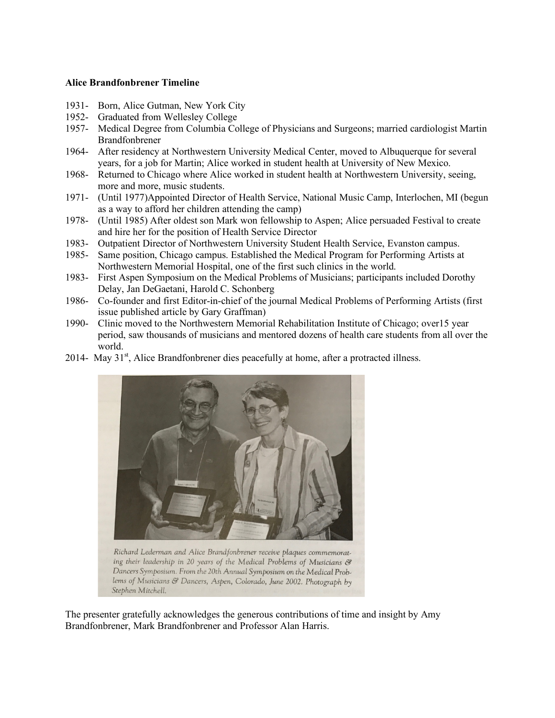## **Alice Brandfonbrener Timeline**

- 1931- Born, Alice Gutman, New York City
- 1952- Graduated from Wellesley College
- 1957- Medical Degree from Columbia College of Physicians and Surgeons; married cardiologist Martin Brandfonbrener
- 1964- After residency at Northwestern University Medical Center, moved to Albuquerque for several years, for a job for Martin; Alice worked in student health at University of New Mexico.
- 1968- Returned to Chicago where Alice worked in student health at Northwestern University, seeing, more and more, music students.
- 1971- (Until 1977)Appointed Director of Health Service, National Music Camp, Interlochen, MI (begun as a way to afford her children attending the camp)
- 1978- (Until 1985) After oldest son Mark won fellowship to Aspen; Alice persuaded Festival to create and hire her for the position of Health Service Director
- 1983- Outpatient Director of Northwestern University Student Health Service, Evanston campus.
- 1985- Same position, Chicago campus. Established the Medical Program for Performing Artists at Northwestern Memorial Hospital, one of the first such clinics in the world.
- 1983- First Aspen Symposium on the Medical Problems of Musicians; participants included Dorothy Delay, Jan DeGaetani, Harold C. Schonberg
- 1986- Co-founder and first Editor-in-chief of the journal Medical Problems of Performing Artists (first issue published article by Gary Graffman)
- 1990- Clinic moved to the Northwestern Memorial Rehabilitation Institute of Chicago; over15 year period, saw thousands of musicians and mentored dozens of health care students from all over the world.
- 2014- May  $31<sup>st</sup>$ , Alice Brandfonbrener dies peacefully at home, after a protracted illness.



Richard Lederman and Alice Brandfonbrener receive plaques commemorating their leadership in 20 years of the Medical Problems of Musicians & Dancers Symposium. From the 20th Annual Symposium on the Medical Problems of Musicians & Dancers, Aspen, Colorado, June 2002. Photograph by Stephen Mitchell.

The presenter gratefully acknowledges the generous contributions of time and insight by Amy Brandfonbrener, Mark Brandfonbrener and Professor Alan Harris.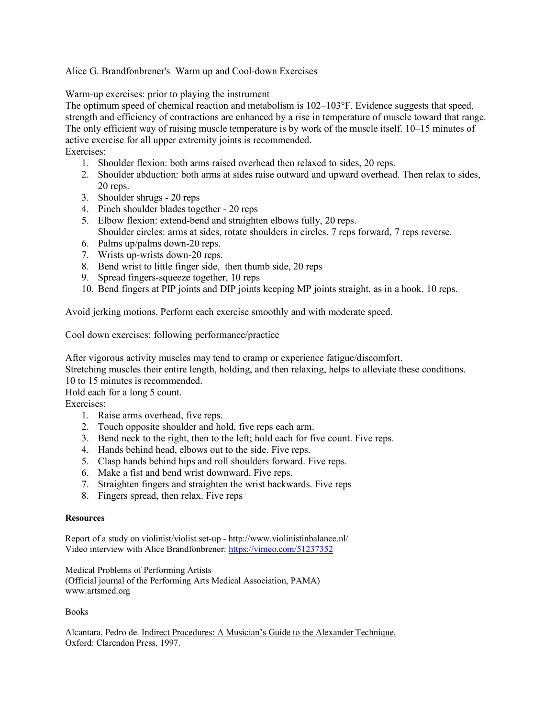Alice G. Brandfonbrener's Warm up and Cool-down Exercises

Warm-up exercises: prior to playing the instrument

The optimum speed of chemical reaction and metabolism is 102–103°F. Evidence suggests that speed, strength and efficiency of contractions are enhanced by a rise in temperature of muscle toward that range. The only efficient way of raising muscle temperature is by work of the muscle itself. 10–15 minutes of active exercise for all upper extremity joints is recommended. Exercises:

- 1. Shoulder flexion: both arms raised overhead then relaxed to sides, 20 reps.
- 2. Shoulder abduction: both arms at sides raise outward and upward overhead. Then relax to sides, 20 reps.
- 3. Shoulder shrugs 20 reps
- 4. Pinch shoulder blades together 20 reps
- 5. Elbow flexion: extend-bend and straighten elbows fully, 20 reps. Shoulder circles: arms at sides, rotate shoulders in circles. 7 reps forward, 7 reps reverse.
- 6. Palms up/palms down-20 reps.
- 7. Wrists up-wrists down-20 reps.
- 8. Bend wrist to little finger side, then thumb side, 20 reps
- 9. Spread fingers-squeeze together, 10 reps
- 10. Bend fingers at PIP joints and DIP joints keeping MP joints straight, as in a hook. 10 reps.

Avoid jerking motions. Perform each exercise smoothly and with moderate speed.

Cool down exercises: following performance/practice

After vigorous activity muscles may tend to cramp or experience fatigue/discomfort.

Stretching muscles their entire length, holding, and then relaxing, helps to alleviate these conditions.

10 to 15 minutes is recommended.

Hold each for a long 5 count.

Exercises:

- 1. Raise arms overhead, five reps.
- 2. Touch opposite shoulder and hold, five reps each arm.
- 3. Bend neck to the right, then to the left; hold each for five count. Five reps.
- 4. Hands behind head, elbows out to the side. Five reps.
- 5. Clasp hands behind hips and roll shoulders forward. Five reps.
- 6. Make a fist and bend wrist downward. Five reps.
- 7. Straighten fingers and straighten the wrist backwards. Five reps
- 8. Fingers spread, then relax. Five reps

## **Resources**

Report of a study on violinist/violist set-up - http://www.violinistinbalance.nl/ Video interview with Alice Brandfonbrener: https://vimeo.com/51237352

Medical Problems of Performing Artists (Official journal of the Performing Arts Medical Association, PAMA) www.artsmed.org

Books

Alcantara, Pedro de. Indirect Procedures: A Musician's Guide to the Alexander Technique. Oxford: Clarendon Press, 1997.